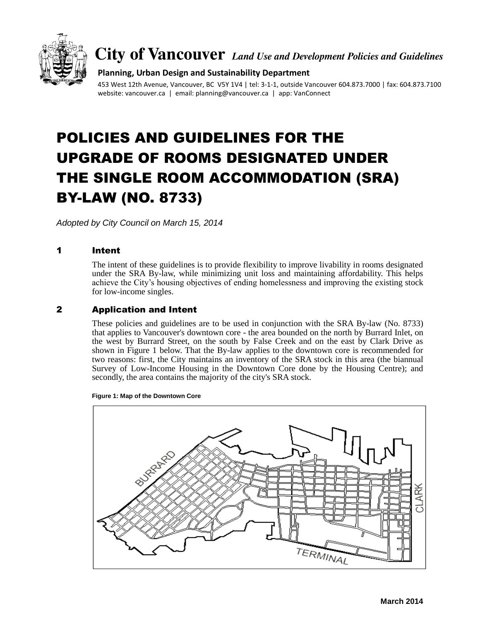

**City of Vancouver** *Land Use and Development Policies and Guidelines*

## **Planning, Urban Design and Sustainability Department**

453 West 12th Avenue, Vancouver, BC V5Y 1V4 | tel: 3-1-1, outside Vancouver 604.873.7000 | fax: 604.873.7100 website: vancouver.ca | email: planning@vancouver.ca | app: VanConnect

# POLICIES AND GUIDELINES FOR THE UPGRADE OF ROOMS DESIGNATED UNDER THE SINGLE ROOM ACCOMMODATION (SRA) BY-LAW (NO. 8733)

*Adopted by City Council on March 15, 2014*

## 1 Intent

The intent of these guidelines is to provide flexibility to improve livability in rooms designated under the SRA By-law, while minimizing unit loss and maintaining affordability. This helps achieve the City's housing objectives of ending homelessness and improving the existing stock for low-income singles.

## 2 Application and Intent

These policies and guidelines are to be used in conjunction with the SRA By-law (No. 8733) that applies to Vancouver's downtown core - the area bounded on the north by Burrard Inlet, on the west by Burrard Street, on the south by False Creek and on the east by Clark Drive as shown in Figure 1 below. That the By-law applies to the downtown core is recommended for two reasons: first, the City maintains an inventory of the SRA stock in this area (the biannual Survey of Low-Income Housing in the Downtown Core done by the Housing Centre); and secondly, the area contains the majority of the city's SRA stock.



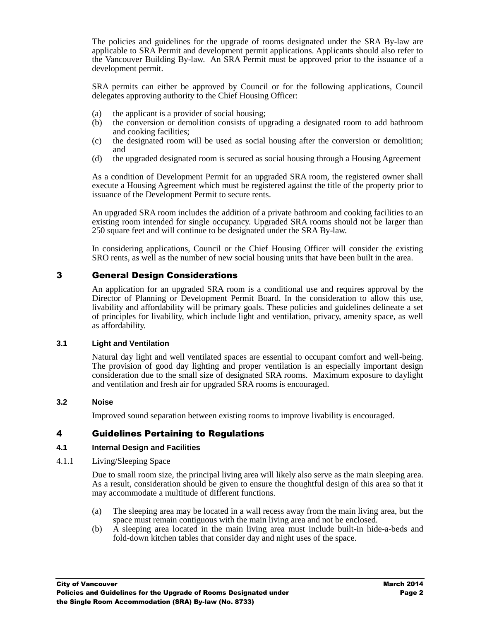The policies and guidelines for the upgrade of rooms designated under the SRA By-law are applicable to SRA Permit and development permit applications. Applicants should also refer to the Vancouver Building By-law. An SRA Permit must be approved prior to the issuance of a development permit.

SRA permits can either be approved by Council or for the following applications, Council delegates approving authority to the Chief Housing Officer:

- (a) the applicant is a provider of social housing;
- (b) the conversion or demolition consists of upgrading a designated room to add bathroom and cooking facilities;
- (c) the designated room will be used as social housing after the conversion or demolition; and
- (d) the upgraded designated room is secured as social housing through a Housing Agreement

As a condition of Development Permit for an upgraded SRA room, the registered owner shall execute a Housing Agreement which must be registered against the title of the property prior to issuance of the Development Permit to secure rents.

An upgraded SRA room includes the addition of a private bathroom and cooking facilities to an existing room intended for single occupancy. Upgraded SRA rooms should not be larger than 250 square feet and will continue to be designated under the SRA By-law.

In considering applications, Council or the Chief Housing Officer will consider the existing SRO rents, as well as the number of new social housing units that have been built in the area.

# 3 General Design Considerations

An application for an upgraded SRA room is a conditional use and requires approval by the Director of Planning or Development Permit Board. In the consideration to allow this use, livability and affordability will be primary goals. These policies and guidelines delineate a set of principles for livability, which include light and ventilation, privacy, amenity space, as well as affordability.

#### **3.1 Light and Ventilation**

Natural day light and well ventilated spaces are essential to occupant comfort and well-being. The provision of good day lighting and proper ventilation is an especially important design consideration due to the small size of designated SRA rooms. Maximum exposure to daylight and ventilation and fresh air for upgraded SRA rooms is encouraged.

#### **3.2 Noise**

Improved sound separation between existing rooms to improve livability is encouraged.

# 4 Guidelines Pertaining to Regulations

#### **4.1 Internal Design and Facilities**

4.1.1 Living/Sleeping Space

Due to small room size, the principal living area will likely also serve as the main sleeping area. As a result, consideration should be given to ensure the thoughtful design of this area so that it may accommodate a multitude of different functions.

- (a) The sleeping area may be located in a wall recess away from the main living area, but the space must remain contiguous with the main living area and not be enclosed.
- (b) A sleeping area located in the main living area must include built-in hide-a-beds and fold-down kitchen tables that consider day and night uses of the space.